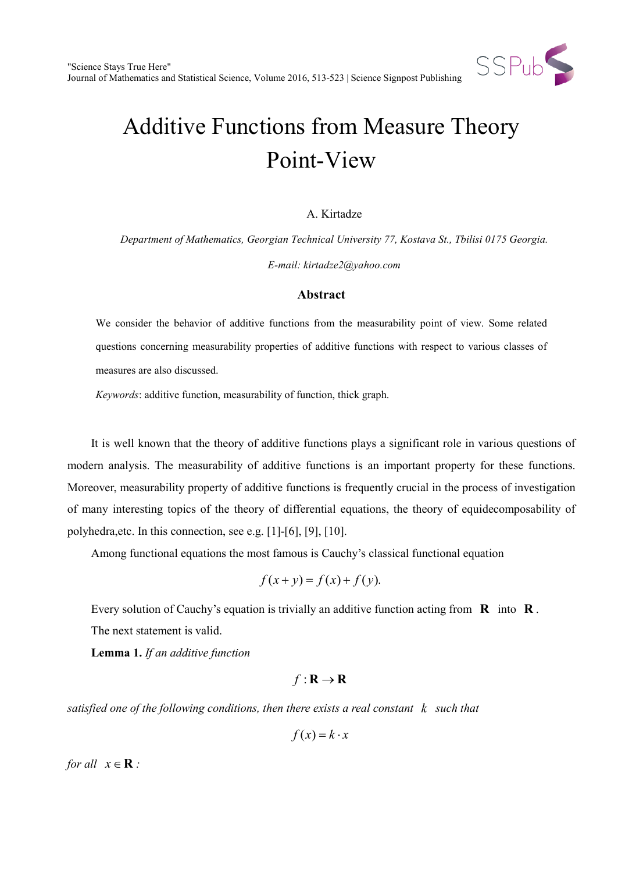

# Additive Functions from Measure Theory Point-View

#### A. Kirtadze

*Department of Mathematics, Georgian Technical University 77, Kostava St., Tbilisi 0175 Georgia. E-mail: kirtadze2@yahoo.com*

#### **Abstract**

We consider the behavior of additive functions from the measurability point of view. Some related questions concerning measurability properties of additive functions with respect to various classes of measures are also discussed.

*Keywords*: additive function, measurability of function, thick graph.

It is well known that the theory of additive functions plays a significant role in various questions of modern analysis. The measurability of additive functions is an important property for these functions. Moreover, measurability property of additive functions is frequently crucial in the process of investigation of many interesting topics of the theory of differential equations, the theory of equidecomposability of polyhedra,etc. In this connection, see e.g. [1]-[6], [9], [10].

Among functional equations the most famous is Cauchy's classical functional equation

$$
f(x+y) = f(x) + f(y).
$$

Every solution of Cauchy's equation is trivially an additive function acting from **R** into **R** . The next statement is valid.

**Lemma 1.** *If an additive function* 

### $f: \mathbf{R} \to \mathbf{R}$

*satisfied one of the following conditions, then there exists a real constant k such that* 

$$
f(x) = k \cdot x
$$

*for all*  $x \in \mathbf{R}$  *:*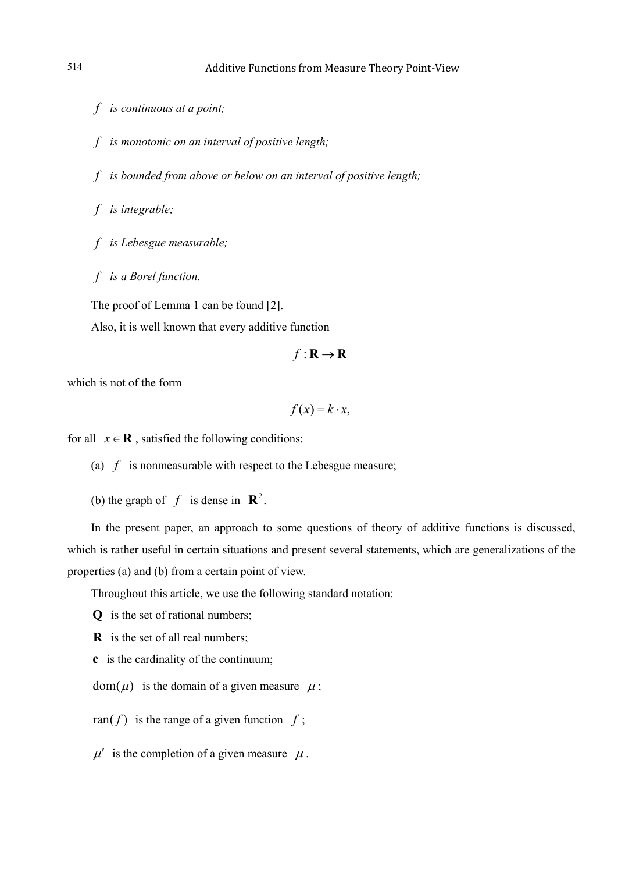*f is continuous at a point;* 

*f is monotonic on an interval of positive length;* 

*f is bounded from above or below on an interval of positive length;* 

*f is integrable;* 

*f is Lebesgue measurable;* 

*f is a Borel function.*

The proof of Lemma 1 can be found [2].

Also, it is well known that every additive function

 $f: \mathbf{R} \to \mathbf{R}$ 

which is not of the form

 $f(x) = k \cdot x$ ,

for all  $x \in \mathbf{R}$ , satisfied the following conditions:

(a)  $f$  is nonmeasurable with respect to the Lebesgue measure;

(b) the graph of  $f$  is dense in  $\mathbb{R}^2$ .

In the present paper, an approach to some questions of theory of additive functions is discussed, which is rather useful in certain situations and present several statements, which are generalizations of the properties (a) and (b) from a certain point of view.

Throughout this article, we use the following standard notation:

**Q** is the set of rational numbers;

**R** is the set of all real numbers;

**c** is the cardinality of the continuum;

 $dom(\mu)$  is the domain of a given measure  $\mu$ ;

ran( $f$ ) is the range of a given function  $f$ ;

 $\mu'$  is the completion of a given measure  $\mu$ .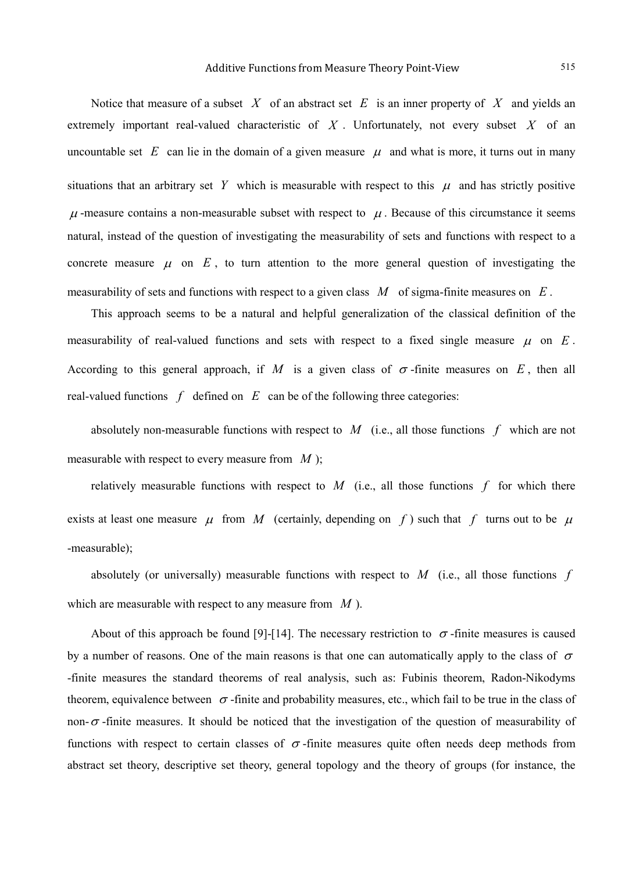Notice that measure of a subset *X* of an abstract set *E* is an inner property of *X* and yields an extremely important real-valued characteristic of *X* . Unfortunately, not every subset *X* of an uncountable set  $E$  can lie in the domain of a given measure  $\mu$  and what is more, it turns out in many situations that an arbitrary set Y which is measurable with respect to this  $\mu$  and has strictly positive  $\mu$ -measure contains a non-measurable subset with respect to  $\mu$ . Because of this circumstance it seems natural, instead of the question of investigating the measurability of sets and functions with respect to a concrete measure  $\mu$  on  $E$ , to turn attention to the more general question of investigating the measurability of sets and functions with respect to a given class *M* of sigma-finite measures on *E* .

This approach seems to be a natural and helpful generalization of the classical definition of the measurability of real-valued functions and sets with respect to a fixed single measure  $\mu$  on  $E$ . According to this general approach, if M is a given class of  $\sigma$ -finite measures on E, then all real-valued functions  $f$  defined on  $E$  can be of the following three categories:

absolutely non-measurable functions with respect to *M* (i.e., all those functions *f* which are not measurable with respect to every measure from *M* );

relatively measurable functions with respect to  $M$  (i.e., all those functions  $f$  for which there exists at least one measure  $\mu$  from *M* (certainly, depending on *f*) such that *f* turns out to be  $\mu$ -measurable);

absolutely (or universally) measurable functions with respect to *M* (i.e., all those functions *f* which are measurable with respect to any measure from *M* ).

About of this approach be found [9]-[14]. The necessary restriction to  $\sigma$ -finite measures is caused by a number of reasons. One of the main reasons is that one can automatically apply to the class of  $\sigma$ -finite measures the standard theorems of real analysis, such as: Fubinis theorem, Radon-Nikodyms theorem, equivalence between  $\sigma$ -finite and probability measures, etc., which fail to be true in the class of non- $\sigma$ -finite measures. It should be noticed that the investigation of the question of measurability of functions with respect to certain classes of  $\sigma$ -finite measures quite often needs deep methods from abstract set theory, descriptive set theory, general topology and the theory of groups (for instance, the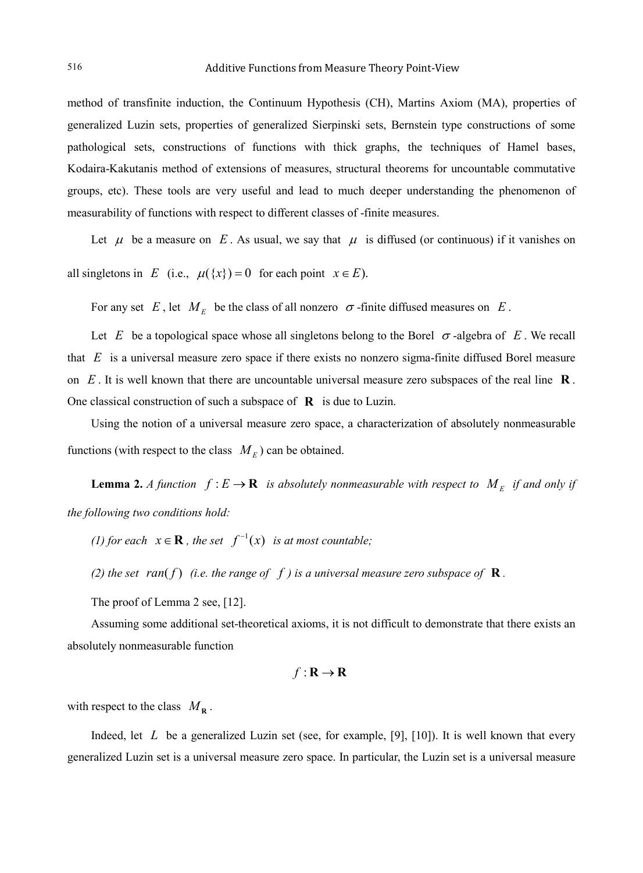method of transfinite induction, the Continuum Hypothesis (CH), Martins Axiom (MA), properties of generalized Luzin sets, properties of generalized Sierpinski sets, Bernstein type constructions of some pathological sets, constructions of functions with thick graphs, the techniques of Hamel bases, Kodaira-Kakutanis method of extensions of measures, structural theorems for uncountable commutative groups, etc). These tools are very useful and lead to much deeper understanding the phenomenon of measurability of functions with respect to different classes of -finite measures.

Let  $\mu$  be a measure on E. As usual, we say that  $\mu$  is diffused (or continuous) if it vanishes on all singletons in *E* (i.e.,  $\mu({x}) = 0$  for each point  $x \in E$ ).

For any set *E*, let  $M_E$  be the class of all nonzero  $\sigma$ -finite diffused measures on *E*.

Let *E* be a topological space whose all singletons belong to the Borel  $\sigma$ -algebra of *E*. We recall that *E* is a universal measure zero space if there exists no nonzero sigma-finite diffused Borel measure on *E* . It is well known that there are uncountable universal measure zero subspaces of the real line **R** . One classical construction of such a subspace of **R** is due to Luzin.

Using the notion of a universal measure zero space, a characterization of absolutely nonmeasurable functions (with respect to the class  $M_E$ ) can be obtained.

**Lemma 2.** *A function*  $f: E \to \mathbf{R}$  *is absolutely nonmeasurable with respect to*  $M_E$  *if and only if the following two conditions hold:*

*(1) for each*  $x \in \mathbf{R}$ , the set  $f^{-1}(x)$  *is at most countable;* 

*(2) the set ran(f) (i.e. the range of f) is a universal measure zero subspace of* **R**.

The proof of Lemma 2 see, [12].

Assuming some additional set-theoretical axioms, it is not difficult to demonstrate that there exists an absolutely nonmeasurable function

$$
f: \mathbf{R} \to \mathbf{R}
$$

with respect to the class  $M_{\text{R}}$ .

Indeed, let *L* be a generalized Luzin set (see, for example, [9], [10]). It is well known that every generalized Luzin set is a universal measure zero space. In particular, the Luzin set is a universal measure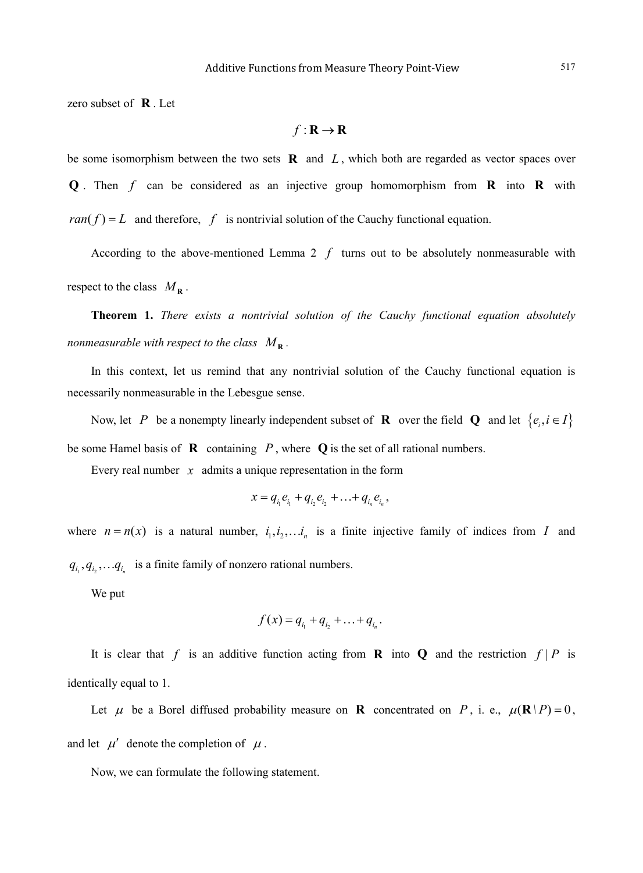zero subset of **R** . Let

$$
f: \mathbf{R} \to \mathbf{R}
$$

be some isomorphism between the two sets **R** and *L* , which both are regarded as vector spaces over **Q** . Then *f* can be considered as an injective group homomorphism from **R** into **R** with  $ran(f) = L$  and therefore, f is nontrivial solution of the Cauchy functional equation.

According to the above-mentioned Lemma  $2 \, f$  turns out to be absolutely nonmeasurable with respect to the class  $M_{\rm R}$ .

**Theorem 1.** *There exists a nontrivial solution of the Cauchy functional equation absolutely nonmeasurable with respect to the class*  $M_{\mathbf{R}}$ .

In this context, let us remind that any nontrivial solution of the Cauchy functional equation is necessarily nonmeasurable in the Lebesgue sense.

Now, let *P* be a nonempty linearly independent subset of **R** over the field **Q** and let  $\{e_i, i \in I\}$ be some Hamel basis of  $\bf{R}$  containing  $P$ , where  $\bf{Q}$  is the set of all rational numbers.

Every real number *x* admits a unique representation in the form

$$
x = q_{i_1}e_{i_1} + q_{i_2}e_{i_2} + \ldots + q_{i_n}e_{i_n},
$$

where  $n = n(x)$  is a natural number,  $i_1, i_2, \ldots, i_n$  is a finite injective family of indices from *I* and  $q_{i_1}, q_{i_2}, \ldots, q_{i_n}$  is a finite family of nonzero rational numbers.

We put

$$
f(x) = q_{i_1} + q_{i_2} + \ldots + q_{i_n}.
$$

It is clear that f is an additive function acting from **R** into **Q** and the restriction  $f | P$  is identically equal to 1.

Let  $\mu$  be a Borel diffused probability measure on **R** concentrated on *P*, i. e.,  $\mu(\mathbf{R} | P) = 0$ , and let  $\mu'$  denote the completion of  $\mu$ .

Now, we can formulate the following statement.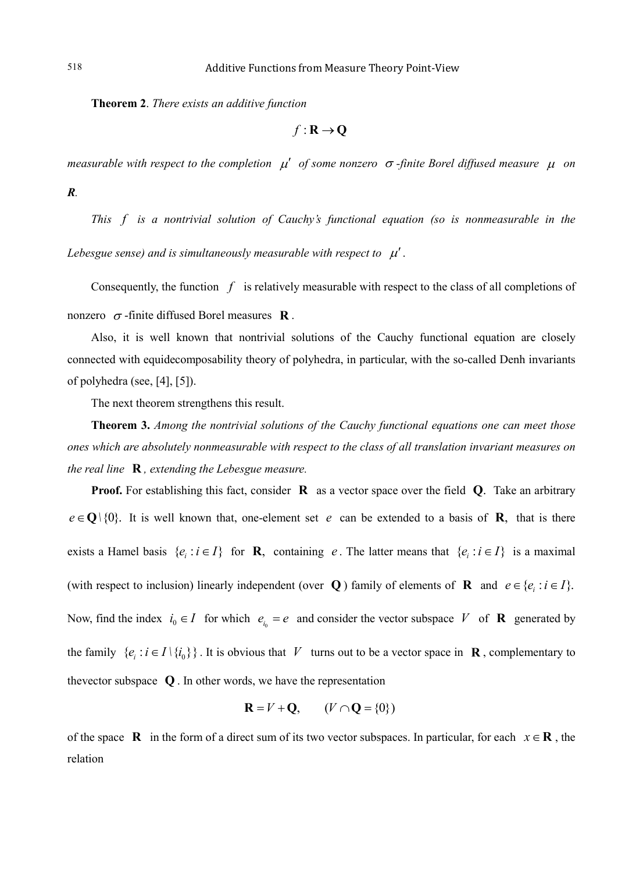**Theorem 2**. *There exists an additive function*

 $f: \mathbf{R} \to \mathbf{Q}$ 

*measurable with respect to the completion* µ′ *of some nonzero* <sup>σ</sup> *-finite Borel diffused measure* <sup>µ</sup> *on R.*

*This f is a nontrivial solution of Cauchy's functional equation (so is nonmeasurable in the Lebesgue sense) and is simultaneously measurable with respect to*  $\mu'$ *.* 

Consequently, the function *f* is relatively measurable with respect to the class of all completions of nonzero <sup>σ</sup> -finite diffused Borel measures **R** .

Also, it is well known that nontrivial solutions of the Cauchy functional equation are closely connected with equidecomposability theory of polyhedra, in particular, with the so-called Denh invariants of polyhedra (see, [4], [5]).

The next theorem strengthens this result.

**Theorem 3.** *Among the nontrivial solutions of the Cauchy functional equations one can meet those ones which are absolutely nonmeasurable with respect to the class of all translation invariant measures on the real line* **R** *, extending the Lebesgue measure.*

**Proof.** For establishing this fact, consider **R** as a vector space over the field **Q**. Take an arbitrary  $e \in \mathbf{O} \setminus \{0\}$ . It is well known that, one-element set *e* can be extended to a basis of **R**, that is there exists a Hamel basis  $\{e_i : i \in I\}$  for **R**, containing *e*. The latter means that  $\{e_i : i \in I\}$  is a maximal (with respect to inclusion) linearly independent (over **Q**) family of elements of **R** and  $e \in \{e_i : i \in I\}$ . Now, find the index  $i_0 \in I$  for which  $e_{i_0} = e$  and consider the vector subspace *V* of **R** generated by the family  $\{e_i : i \in I \setminus \{i_0\}\}\.$  It is obvious that *V* turns out to be a vector space in **R**, complementary to thevector subspace **Q** . In other words, we have the representation

$$
\mathbf{R} = V + \mathbf{Q}, \qquad (V \cap \mathbf{Q} = \{0\})
$$

of the space **R** in the form of a direct sum of its two vector subspaces. In particular, for each  $x \in \mathbf{R}$ , the relation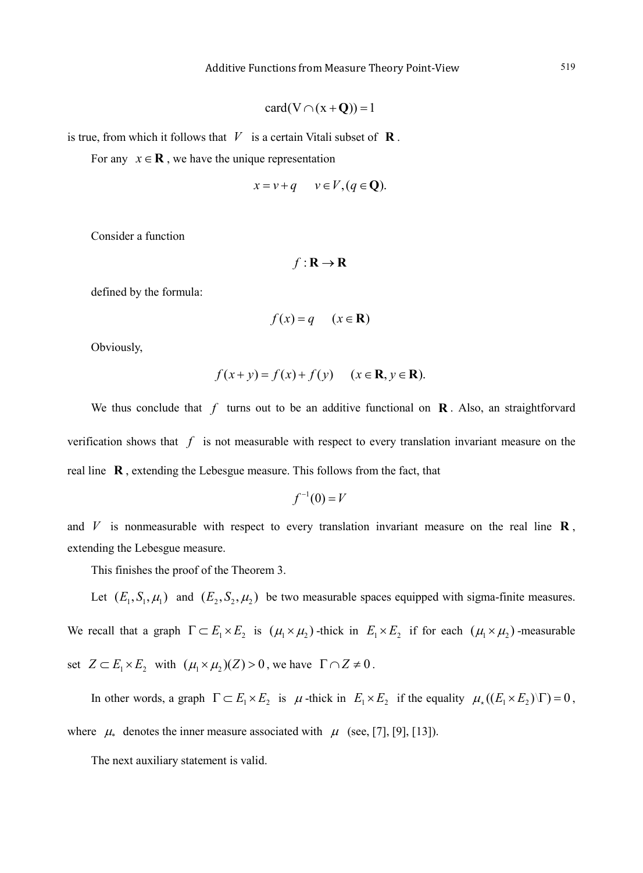$$
card(V \cap (x + Q)) = 1
$$

is true, from which it follows that  $V$  is a certain Vitali subset of  $\mathbf{R}$ .

For any  $x \in \mathbf{R}$ , we have the unique representation

$$
x = v + q \qquad v \in V, (q \in \mathbf{Q}).
$$

Consider a function

$$
f: \mathbf{R} \to \mathbf{R}
$$

defined by the formula:

$$
f(x) = q \quad (x \in \mathbf{R})
$$

Obviously,

$$
f(x+y) = f(x) + f(y) \quad (x \in \mathbf{R}, y \in \mathbf{R}).
$$

We thus conclude that  $f$  turns out to be an additive functional on  $\mathbf{R}$ . Also, an straightforvard verification shows that *f* is not measurable with respect to every translation invariant measure on the real line **R** , extending the Lebesgue measure. This follows from the fact, that

$$
f^{-1}(0) = V
$$

and  $V$  is nonmeasurable with respect to every translation invariant measure on the real line  $\mathbf{R}$ , extending the Lebesgue measure.

This finishes the proof of the Theorem 3.

Let  $(E_1, S_1, \mu_1)$  and  $(E_2, S_2, \mu_2)$  be two measurable spaces equipped with sigma-finite measures. We recall that a graph  $\Gamma \subset E_1 \times E_2$  is  $(\mu_1 \times \mu_2)$ -thick in  $E_1 \times E_2$  if for each  $(\mu_1 \times \mu_2)$ -measurable set  $Z \subset E_1 \times E_2$  with  $(\mu_1 \times \mu_2)(Z) > 0$ , we have  $\Gamma \cap Z \neq 0$ .

In other words, a graph  $\Gamma \subset E_1 \times E_2$  is  $\mu$ -thick in  $E_1 \times E_2$  if the equality  $\mu$ <sub>\*</sub>( $(E_1 \times E_2)$ )  $\Gamma$ ) = 0, where  $\mu_*$  denotes the inner measure associated with  $\mu$  (see, [7], [9], [13]).

The next auxiliary statement is valid.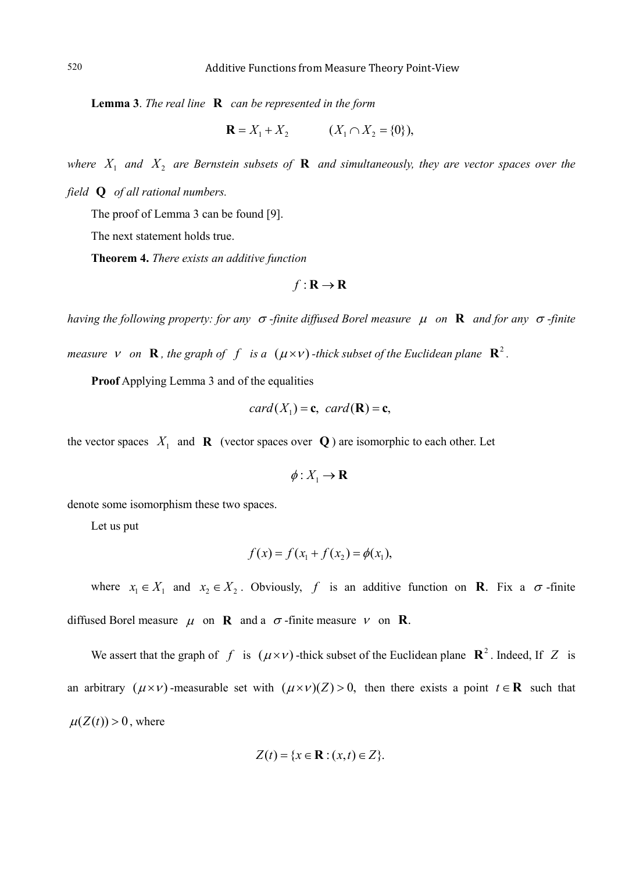**Lemma 3**. *The real line* **R** *can be represented in the form*

$$
\mathbf{R} = X_1 + X_2 \qquad (X_1 \cap X_2 = \{0\}),
$$

*where*  $X_1$  *and*  $X_2$  *are Bernstein subsets of* **R** *and simultaneously, they are vector spaces over the field* **Q** *of all rational numbers.*

The proof of Lemma 3 can be found [9].

The next statement holds true.

**Theorem 4.** *There exists an additive function*

$$
f: \mathbf{R} \to \mathbf{R}
$$

*having the following property: for any* <sup>σ</sup> *-finite diffused Borel measure* <sup>µ</sup> *on* **R** *and for any* <sup>σ</sup> *-finite* 

*measure v on* **R**, *the graph of f is a*  $(\mu \times \nu)$  *-thick subset of the Euclidean plane* **R**<sup>2</sup>.

**Proof** Applying Lemma 3 and of the equalities

$$
card(X_1) = \mathbf{c}, \; card(\mathbf{R}) = \mathbf{c},
$$

the vector spaces  $X_1$  and **R** (vector spaces over **Q**) are isomorphic to each other. Let

$$
\phi: X_1 \to \mathbf{R}
$$

denote some isomorphism these two spaces.

Let us put

$$
f(x) = f(x_1 + f(x_2)) = \phi(x_1),
$$

where  $x_1 \in X_1$  and  $x_2 \in X_2$ . Obviously, f is an additive function on **R**. Fix a  $\sigma$ -finite diffused Borel measure  $\mu$  on **R** and a  $\sigma$ -finite measure  $\nu$  on **R**.

We assert that the graph of *f* is  $(\mu \times \nu)$ -thick subset of the Euclidean plane  $\mathbb{R}^2$ . Indeed, If *Z* is an arbitrary  $(\mu \times \nu)$ -measurable set with  $(\mu \times \nu)(Z) > 0$ , then there exists a point  $t \in \mathbb{R}$  such that  $\mu(Z(t)) > 0$ , where

$$
Z(t) = \{x \in \mathbf{R} : (x,t) \in Z\}.
$$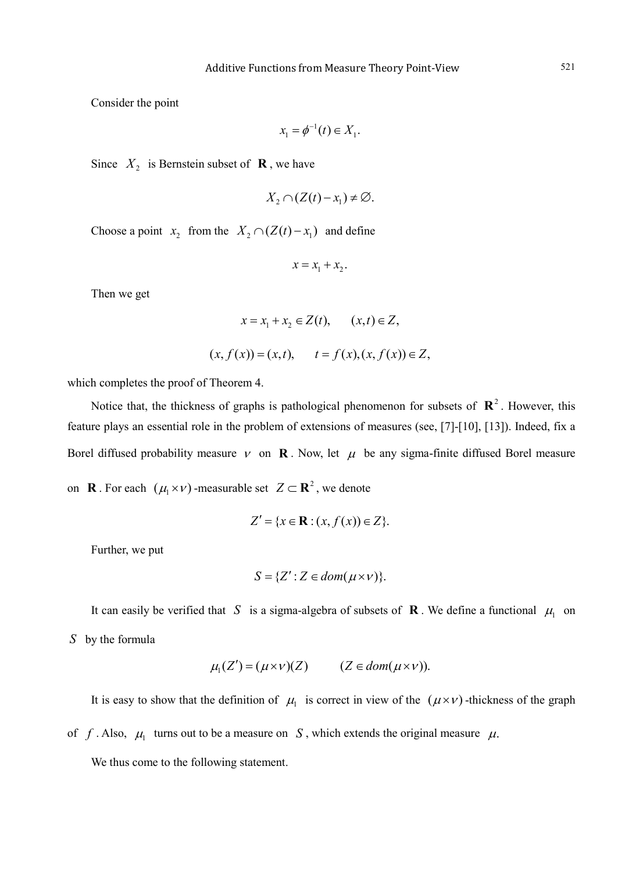Consider the point

$$
x_1 = \phi^{-1}(t) \in X_1.
$$

Since  $X_2$  is Bernstein subset of **R**, we have

$$
X_2 \cap (Z(t)-x_1) \neq \varnothing.
$$

Choose a point  $x_2$  from the  $X_2 \cap (Z(t) - x_1)$  and define

$$
x = x_1 + x_2.
$$

Then we get

$$
x = x_1 + x_2 \in Z(t), \quad (x, t) \in Z,
$$
  
 $(x, f(x)) = (x, t), \quad t = f(x), (x, f(x)) \in Z,$ 

which completes the proof of Theorem 4.

Notice that, the thickness of graphs is pathological phenomenon for subsets of  $\mathbb{R}^2$ . However, this feature plays an essential role in the problem of extensions of measures (see, [7]-[10], [13]). Indeed, fix a Borel diffused probability measure  $v$  on **R**. Now, let  $\mu$  be any sigma-finite diffused Borel measure on **R** . For each  $(\mu_1 \times \nu)$  -measurable set  $Z \subset \mathbb{R}^2$ , we denote

$$
Z' = \{x \in \mathbf{R} : (x, f(x)) \in Z\}.
$$

Further, we put

$$
S = \{Z' : Z \in dom(\mu \times \nu)\}.
$$

It can easily be verified that *S* is a sigma-algebra of subsets of **R**. We define a functional  $\mu_1$  on *S* by the formula

$$
\mu_1(Z') = (\mu \times \nu)(Z) \qquad (Z \in dom(\mu \times \nu)).
$$

It is easy to show that the definition of  $\mu_1$  is correct in view of the  $(\mu \times \nu)$ -thickness of the graph

of *f*. Also,  $\mu_1$  turns out to be a measure on *S*, which extends the original measure  $\mu$ .

We thus come to the following statement.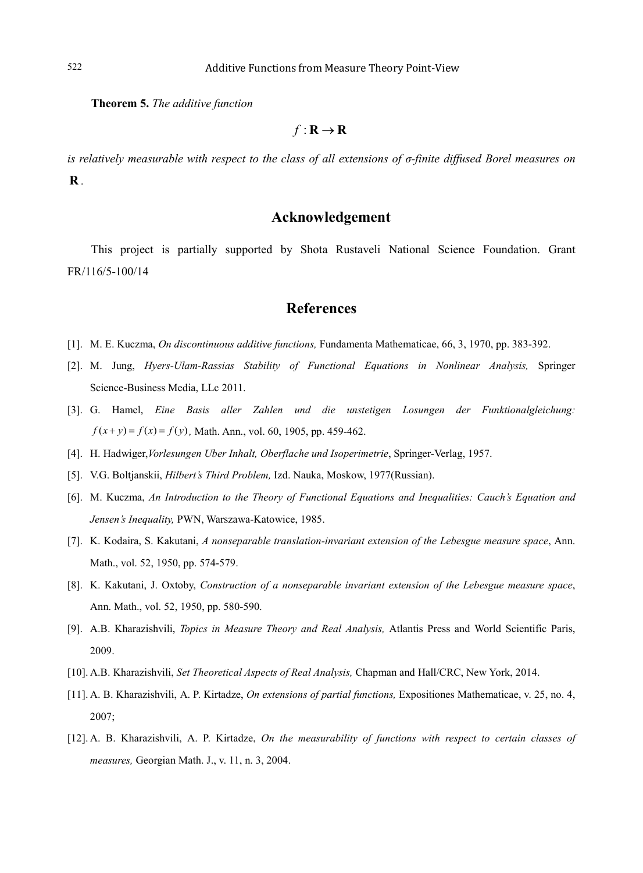**Theorem 5.** *The additive function* 

 $f: \mathbf{R} \to \mathbf{R}$ 

*is relatively measurable with respect to the class of all extensions of σ-finite diffused Borel measures on* **R** *.*

## **Acknowledgement**

This project is partially supported by Shota Rustaveli National Science Foundation. Grant FR/116/5-100/14

#### **References**

- [1]. M. E. Kuczma, *On discontinuous additive functions,* Fundamenta Mathematicae, 66, 3, 1970, pp. 383-392.
- [2]. M. Jung, *Hyers-Ulam-Rassias Stability of Functional Equations in Nonlinear Analysis,* Springer Science-Business Media, LLc 2011.
- [3]. G. Hamel, *Eine Basis aller Zahlen und die unstetigen Losungen der Funktionalgleichung:*   $f(x+y) = f(x) = f(y)$ , Math. Ann., vol. 60, 1905, pp. 459-462.
- [4]. H. Hadwiger,*Vorlesungen Uber Inhalt, Oberflache und Isoperimetrie*, Springer-Verlag, 1957.
- [5]. V.G. Boltjanskii, *Hilbert's Third Problem,* Izd. Nauka, Moskow, 1977(Russian).
- [6]. M. Kuczma, *An Introduction to the Theory of Functional Equations and Inequalities: Cauch's Equation and Jensen's Inequality,* PWN, Warszawa-Katowice, 1985.
- [7]. K. Kodaira, S. Kakutani, *A nonseparable translation-invariant extension of the Lebesgue measure space*, Ann. Math., vol. 52, 1950, pp. 574-579.
- [8]. K. Kakutani, J. Oxtoby, *Construction of a nonseparable invariant extension of the Lebesgue measure space*, Ann. Math., vol. 52, 1950, pp. 580-590.
- [9]. A.B. Kharazishvili, *Topics in Measure Theory and Real Analysis,* Atlantis Press and World Scientific Paris, 2009.
- [10]. A.B. Kharazishvili, *Set Theoretical Aspects of Real Analysis,* Chapman and Hall/CRC, New York, 2014.
- [11]. A. B. Kharazishvili, A. P. Kirtadze, *On extensions of partial functions,* Expositiones Mathematicae, v. 25, no. 4, 2007;
- [12]. A. B. Kharazishvili, A. P. Kirtadze, *On the measurability of functions with respect to certain classes of measures,* Georgian Math. J., v. 11, n. 3, 2004.